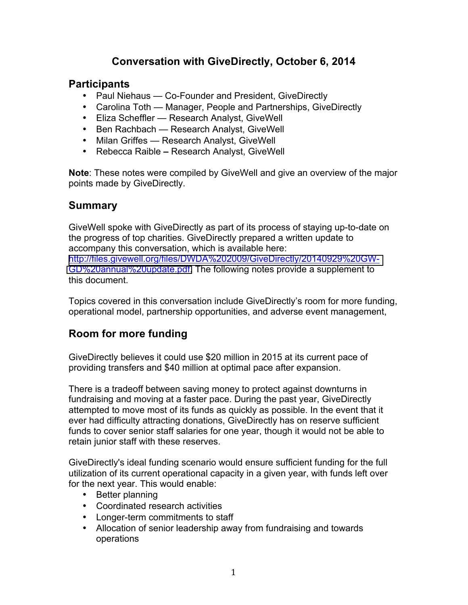# **Conversation with GiveDirectly, October 6, 2014**

## **Participants**

- Paul Niehaus Co-Founder and President, GiveDirectly
- Carolina Toth Manager, People and Partnerships, GiveDirectly
- Eliza Scheffler Research Analyst, GiveWell
- Ben Rachbach Research Analyst, GiveWell
- Milan Griffes Research Analyst, GiveWell
- Rebecca Raible **–** Research Analyst, GiveWell

**Note**: These notes were compiled by GiveWell and give an overview of the major points made by GiveDirectly.

# **Summary**

GiveWell spoke with GiveDirectly as part of its process of staying up-to-date on the progress of top charities. GiveDirectly prepared a written update to accompany this conversation, which is available here: [http://files.givewell.org/files/DWDA%202009/GiveDirectly/20140929%20GW-](http://files.givewell.org/files/DWDA%202009/GiveDirectly/20140929%20GW-GD%20annual%20update.pdf)[GD%20annual%20update.pdf.](http://files.givewell.org/files/DWDA%202009/GiveDirectly/20140929%20GW-GD%20annual%20update.pdf) The following notes provide a supplement to this document.

Topics covered in this conversation include GiveDirectly's room for more funding, operational model, partnership opportunities, and adverse event management,

# **Room for more funding**

GiveDirectly believes it could use \$20 million in 2015 at its current pace of providing transfers and \$40 million at optimal pace after expansion.

There is a tradeoff between saving money to protect against downturns in fundraising and moving at a faster pace. During the past year, GiveDirectly attempted to move most of its funds as quickly as possible. In the event that it ever had difficulty attracting donations, GiveDirectly has on reserve sufficient funds to cover senior staff salaries for one year, though it would not be able to retain junior staff with these reserves.

GiveDirectly's ideal funding scenario would ensure sufficient funding for the full utilization of its current operational capacity in a given year, with funds left over for the next year. This would enable:

- Better planning
- Coordinated research activities
- Longer-term commitments to staff
- Allocation of senior leadership away from fundraising and towards operations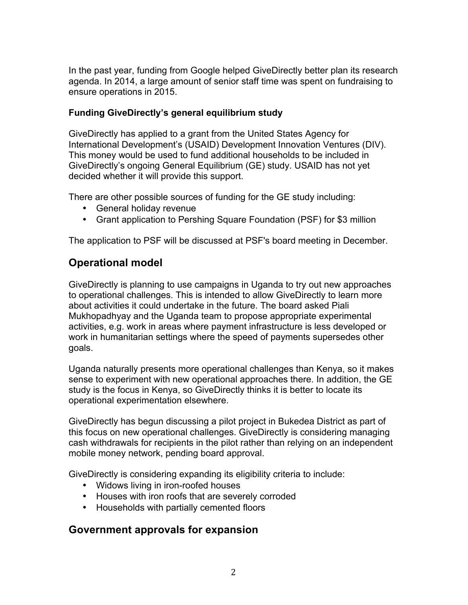In the past year, funding from Google helped GiveDirectly better plan its research agenda. In 2014, a large amount of senior staff time was spent on fundraising to ensure operations in 2015.

#### **Funding GiveDirectly's general equilibrium study**

GiveDirectly has applied to a grant from the United States Agency for International Development's (USAID) Development Innovation Ventures (DIV). This money would be used to fund additional households to be included in GiveDirectly's ongoing General Equilibrium (GE) study. USAID has not yet decided whether it will provide this support.

There are other possible sources of funding for the GE study including:

- General holiday revenue
- Grant application to Pershing Square Foundation (PSF) for \$3 million

The application to PSF will be discussed at PSF's board meeting in December.

## **Operational model**

GiveDirectly is planning to use campaigns in Uganda to try out new approaches to operational challenges. This is intended to allow GiveDirectly to learn more about activities it could undertake in the future. The board asked Piali Mukhopadhyay and the Uganda team to propose appropriate experimental activities, e.g. work in areas where payment infrastructure is less developed or work in humanitarian settings where the speed of payments supersedes other goals.

Uganda naturally presents more operational challenges than Kenya, so it makes sense to experiment with new operational approaches there. In addition, the GE study is the focus in Kenya, so GiveDirectly thinks it is better to locate its operational experimentation elsewhere.

GiveDirectly has begun discussing a pilot project in Bukedea District as part of this focus on new operational challenges. GiveDirectly is considering managing cash withdrawals for recipients in the pilot rather than relying on an independent mobile money network, pending board approval.

GiveDirectly is considering expanding its eligibility criteria to include:

- Widows living in iron-roofed houses
- Houses with iron roofs that are severely corroded
- Households with partially cemented floors

### **Government approvals for expansion**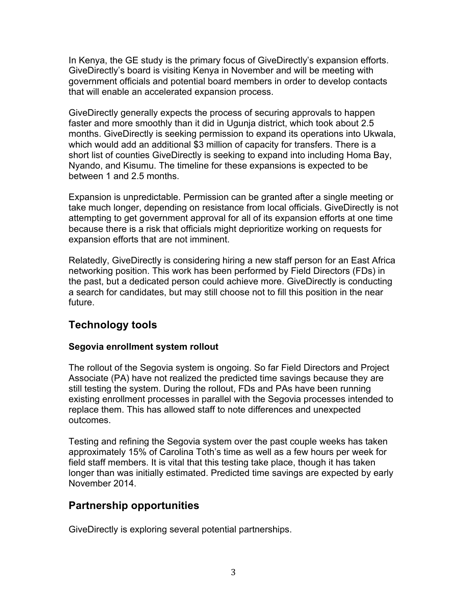In Kenya, the GE study is the primary focus of GiveDirectly's expansion efforts. GiveDirectly's board is visiting Kenya in November and will be meeting with government officials and potential board members in order to develop contacts that will enable an accelerated expansion process.

GiveDirectly generally expects the process of securing approvals to happen faster and more smoothly than it did in Ugunja district, which took about 2.5 months. GiveDirectly is seeking permission to expand its operations into Ukwala, which would add an additional \$3 million of capacity for transfers. There is a short list of counties GiveDirectly is seeking to expand into including Homa Bay, Nyando, and Kisumu. The timeline for these expansions is expected to be between 1 and 2.5 months.

Expansion is unpredictable. Permission can be granted after a single meeting or take much longer, depending on resistance from local officials. GiveDirectly is not attempting to get government approval for all of its expansion efforts at one time because there is a risk that officials might deprioritize working on requests for expansion efforts that are not imminent.

Relatedly, GiveDirectly is considering hiring a new staff person for an East Africa networking position. This work has been performed by Field Directors (FDs) in the past, but a dedicated person could achieve more. GiveDirectly is conducting a search for candidates, but may still choose not to fill this position in the near future.

# **Technology tools**

### **Segovia enrollment system rollout**

The rollout of the Segovia system is ongoing. So far Field Directors and Project Associate (PA) have not realized the predicted time savings because they are still testing the system. During the rollout, FDs and PAs have been running existing enrollment processes in parallel with the Segovia processes intended to replace them. This has allowed staff to note differences and unexpected outcomes.

Testing and refining the Segovia system over the past couple weeks has taken approximately 15% of Carolina Toth's time as well as a few hours per week for field staff members. It is vital that this testing take place, though it has taken longer than was initially estimated. Predicted time savings are expected by early November 2014.

## **Partnership opportunities**

GiveDirectly is exploring several potential partnerships.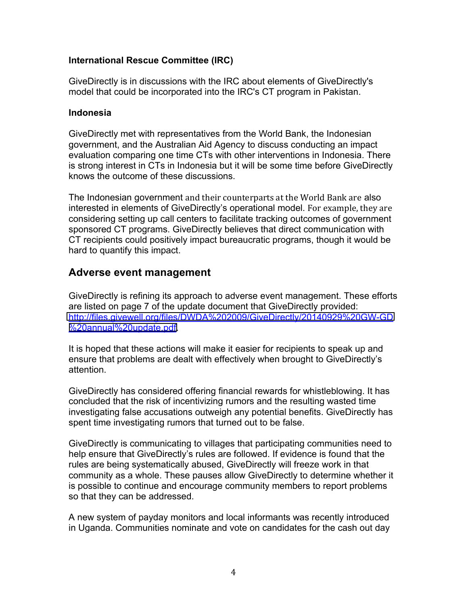#### **International Rescue Committee (IRC)**

GiveDirectly is in discussions with the IRC about elements of GiveDirectly's model that could be incorporated into the IRC's CT program in Pakistan.

#### **Indonesia**

GiveDirectly met with representatives from the World Bank, the Indonesian government, and the Australian Aid Agency to discuss conducting an impact evaluation comparing one time CTs with other interventions in Indonesia. There is strong interest in CTs in Indonesia but it will be some time before GiveDirectly knows the outcome of these discussions.

The Indonesian government and their counterparts at the World Bank are also interested in elements of GiveDirectly's operational model. For example, they are considering setting up call centers to facilitate tracking outcomes of government sponsored CT programs. GiveDirectly believes that direct communication with CT recipients could positively impact bureaucratic programs, though it would be hard to quantify this impact.

### **Adverse event management**

GiveDirectly is refining its approach to adverse event management. These efforts are listed on page 7 of the update document that GiveDirectly provided: [http://files.givewell.org/files/DWDA%202009/GiveDirectly/20140929%20GW-GD](http://files.givewell.org/files/DWDA%202009/GiveDirectly/20140929%20GW-GD%20annual%20update.pdf) [%20annual%20update.pdf.](http://files.givewell.org/files/DWDA%202009/GiveDirectly/20140929%20GW-GD%20annual%20update.pdf)

It is hoped that these actions will make it easier for recipients to speak up and ensure that problems are dealt with effectively when brought to GiveDirectly's attention.

GiveDirectly has considered offering financial rewards for whistleblowing. It has concluded that the risk of incentivizing rumors and the resulting wasted time investigating false accusations outweigh any potential benefits. GiveDirectly has spent time investigating rumors that turned out to be false.

GiveDirectly is communicating to villages that participating communities need to help ensure that GiveDirectly's rules are followed. If evidence is found that the rules are being systematically abused, GiveDirectly will freeze work in that community as a whole. These pauses allow GiveDirectly to determine whether it is possible to continue and encourage community members to report problems so that they can be addressed.

A new system of payday monitors and local informants was recently introduced in Uganda. Communities nominate and vote on candidates for the cash out day